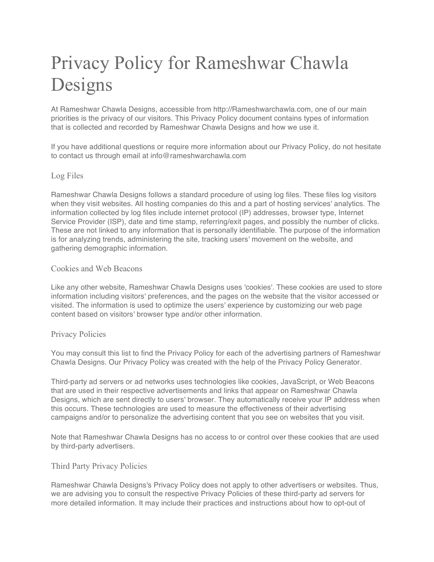# Privacy Policy for Rameshwar Chawla Designs

At Rameshwar Chawla Designs, accessible from http://Rameshwarchawla.com, one of our main priorities is the privacy of our visitors. This Privacy Policy document contains types of information that is collected and recorded by Rameshwar Chawla Designs and how we use it.

If you have additional questions or require more information about our Privacy Policy, do not hesitate to contact us through email at info@rameshwarchawla.com

# Log Files

Rameshwar Chawla Designs follows a standard procedure of using log files. These files log visitors when they visit websites. All hosting companies do this and a part of hosting services' analytics. The information collected by log files include internet protocol (IP) addresses, browser type, Internet Service Provider (ISP), date and time stamp, referring/exit pages, and possibly the number of clicks. These are not linked to any information that is personally identifiable. The purpose of the information is for analyzing trends, administering the site, tracking users' movement on the website, and gathering demographic information.

# Cookies and Web Beacons

Like any other website, Rameshwar Chawla Designs uses 'cookies'. These cookies are used to store information including visitors' preferences, and the pages on the website that the visitor accessed or visited. The information is used to optimize the users' experience by customizing our web page content based on visitors' browser type and/or other information.

# Privacy Policies

You may consult this list to find the Privacy Policy for each of the advertising partners of Rameshwar Chawla Designs. Our Privacy Policy was created with the help of the Privacy Policy Generator.

Third-party ad servers or ad networks uses technologies like cookies, JavaScript, or Web Beacons that are used in their respective advertisements and links that appear on Rameshwar Chawla Designs, which are sent directly to users' browser. They automatically receive your IP address when this occurs. These technologies are used to measure the effectiveness of their advertising campaigns and/or to personalize the advertising content that you see on websites that you visit.

Note that Rameshwar Chawla Designs has no access to or control over these cookies that are used by third-party advertisers.

# Third Party Privacy Policies

Rameshwar Chawla Designs's Privacy Policy does not apply to other advertisers or websites. Thus, we are advising you to consult the respective Privacy Policies of these third-party ad servers for more detailed information. It may include their practices and instructions about how to opt-out of